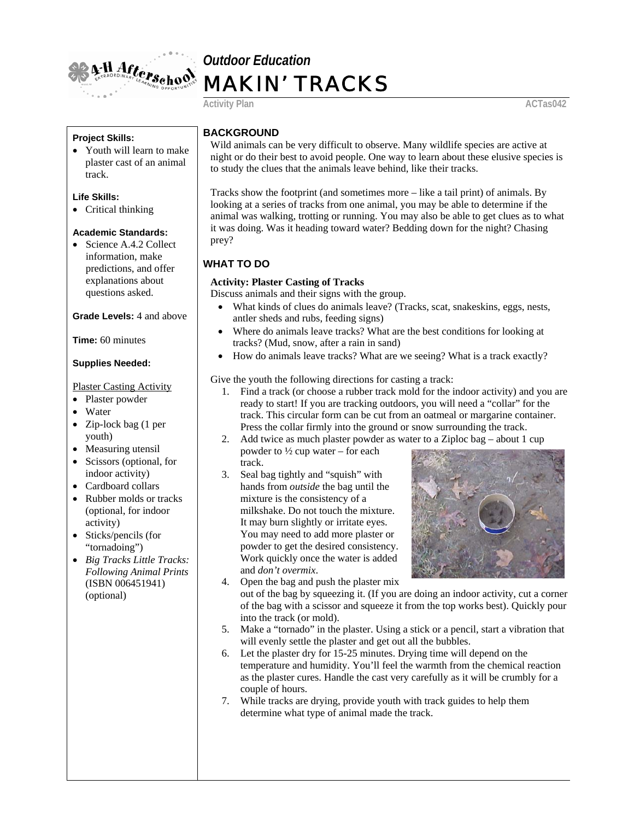

# *Outdoor Education* MAKIN' TRACKS

Activity Plan **ACTas042** 

#### **Project Skills:**

• Youth will learn to make plaster cast of an animal track.

#### **Life Skills:**

• Critical thinking

#### **Academic Standards:**

• Science A.4.2 Collect information, make predictions, and offer explanations about questions asked.

#### **Grade Levels:** 4 and above

**Time:** 60 minutes

#### **Supplies Needed:**

#### Plaster Casting Activity

- Plaster powder
- Water
- Zip-lock bag (1 per youth)
- Measuring utensil
- Scissors (optional, for indoor activity)
- Cardboard collars
- Rubber molds or tracks (optional, for indoor activity)
- Sticks/pencils (for "tornadoing")
- *Big Tracks Little Tracks: Following Animal Prints* (ISBN 006451941) (optional)

## **BACKGROUND**

Wild animals can be very difficult to observe. Many wildlife species are active at night or do their best to avoid people. One way to learn about these elusive species is to study the clues that the animals leave behind, like their tracks.

Tracks show the footprint (and sometimes more – like a tail print) of animals. By looking at a series of tracks from one animal, you may be able to determine if the animal was walking, trotting or running. You may also be able to get clues as to what it was doing. Was it heading toward water? Bedding down for the night? Chasing prey?

## **WHAT TO DO**

#### **Activity: Plaster Casting of Tracks**

Discuss animals and their signs with the group.

- What kinds of clues do animals leave? (Tracks, scat, snakeskins, eggs, nests, antler sheds and rubs, feeding signs)
- Where do animals leave tracks? What are the best conditions for looking at tracks? (Mud, snow, after a rain in sand)
- How do animals leave tracks? What are we seeing? What is a track exactly?

#### Give the youth the following directions for casting a track:

- 1. Find a track (or choose a rubber track mold for the indoor activity) and you are ready to start! If you are tracking outdoors, you will need a "collar" for the track. This circular form can be cut from an oatmeal or margarine container. Press the collar firmly into the ground or snow surrounding the track.
- 2. Add twice as much plaster powder as water to a Ziploc bag about 1 cup
- powder to ½ cup water for each track.
- 3. Seal bag tightly and "squish" with hands from *outside* the bag until the mixture is the consistency of a milkshake. Do not touch the mixture. It may burn slightly or irritate eyes. You may need to add more plaster or powder to get the desired consistency. Work quickly once the water is added and *don't overmix*.



- 4. Open the bag and push the plaster mix out of the bag by squeezing it. (If you are doing an indoor activity, cut a corner of the bag with a scissor and squeeze it from the top works best). Quickly pour into the track (or mold).
- 5. Make a "tornado" in the plaster. Using a stick or a pencil, start a vibration that will evenly settle the plaster and get out all the bubbles.
- 6. Let the plaster dry for 15-25 minutes. Drying time will depend on the temperature and humidity. You'll feel the warmth from the chemical reaction as the plaster cures. Handle the cast very carefully as it will be crumbly for a couple of hours.
- 7. While tracks are drying, provide youth with track guides to help them determine what type of animal made the track.